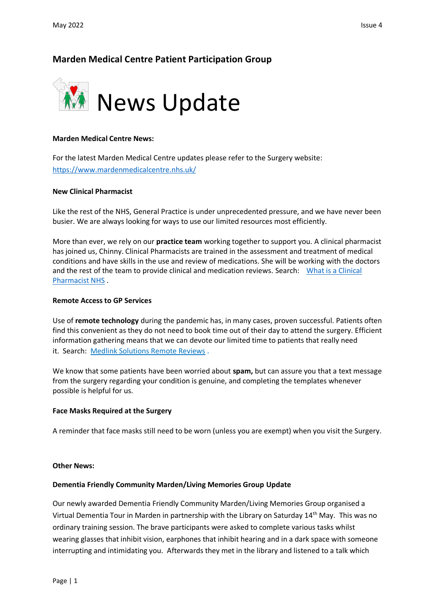# **Marden Medical Centre Patient Participation Group**



## **Marden Medical Centre News:**

For the latest Marden Medical Centre updates please refer to the Surgery website: <https://www.mardenmedicalcentre.nhs.uk/>

## **New Clinical Pharmacist**

Like the rest of the NHS, General Practice is under unprecedented pressure, and we have never been busier. We are always looking for ways to use our limited resources most efficiently.

More than ever, we rely on our **practice team** working together to support you. A clinical pharmacist has joined us, Chinny. Clinical Pharmacists are trained in the assessment and treatment of medical conditions and have skills in the use and review of medications. She will be working with the doctors and the rest of the team to provide clinical and medication reviews. Search: [What is a Clinical](https://www.england.nhs.uk/commissioning/wp-content/uploads/sites/12/2016/07/easy-read-clncl-pharm.pdf)  [Pharmacist NHS](https://www.england.nhs.uk/commissioning/wp-content/uploads/sites/12/2016/07/easy-read-clncl-pharm.pdf) .

### **Remote Access to GP Services**

Use of **remote technology** during the pandemic has, in many cases, proven successful. Patients often find this convenient as they do not need to book time out of their day to attend the surgery. Efficient information gathering means that we can devote our limited time to patients that really need it. Search: [Medlink Solutions Remote Reviews](https://medlinksolutions.co.uk/) .

We know that some patients have been worried about **spam,** but can assure you that a text message from the surgery regarding your condition is genuine, and completing the templates whenever possible is helpful for us.

#### **Face Masks Required at the Surgery**

A reminder that face masks still need to be worn (unless you are exempt) when you visit the Surgery.

#### **Other News:**

## **Dementia Friendly Community Marden/Living Memories Group Update**

Our newly awarded Dementia Friendly Community Marden/Living Memories Group organised a Virtual Dementia Tour in Marden in partnership with the Library on Saturday 14th May. This was no ordinary training session. The brave participants were asked to complete various tasks whilst wearing glasses that inhibit vision, earphones that inhibit hearing and in a dark space with someone interrupting and intimidating you. Afterwards they met in the library and listened to a talk which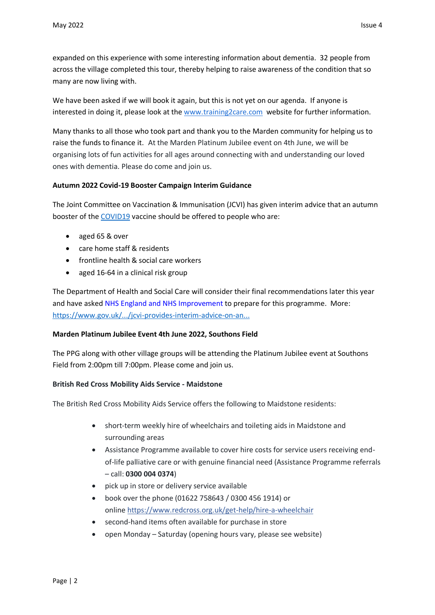expanded on this experience with some interesting information about dementia. 32 people from across the village completed this tour, thereby helping to raise awareness of the condition that so many are now living with.

We have been asked if we will book it again, but this is not yet on our agenda. If anyone is interested in doing it, please look at the [www.training2care.com](https://www.training2care.com/) website for further information.

Many thanks to all those who took part and thank you to the Marden community for helping us to raise the funds to finance it. At the Marden Platinum Jubilee event on 4th June, we will be organising lots of fun activities for all ages around connecting with and understanding our loved ones with dementia. Please do come and join us.

# **Autumn 2022 Covid-19 Booster Campaign Interim Guidance**

The Joint Committee on Vaccination & Immunisation (JCVI) has given interim advice that an autumn booster of the [COVID19](https://www.facebook.com/hashtag/covid19?__eep__=6&__cft__%5b0%5d=AZVZldYcCeWDFavVYeQvA3Q8Ap4McPcXJAu5sFsB2RsQD-noY_CG8mc5GsITwtE0jCLUazf-YksdYTaik-8qWbSD21ZkOEns7nhiTU0HeWQ8rYC1uSxij2Mh3ShCY_EwaJM&__tn__=*NK-R) vaccine should be offered to people who are:

- aged 65 & over
- care home staff & residents
- frontline health & social care workers
- aged 16-64 in a clinical risk group

The Department of Health and Social Care will consider their final recommendations later this year and have asked NHS England and NHS [Improvement](https://www.facebook.com/NHSEngland?__cft__%5b0%5d=AZVZldYcCeWDFavVYeQvA3Q8Ap4McPcXJAu5sFsB2RsQD-noY_CG8mc5GsITwtE0jCLUazf-YksdYTaik-8qWbSD21ZkOEns7nhiTU0HeWQ8rYC1uSxij2Mh3ShCY_EwaJM&__tn__=-%5dK-R) to prepare for this programme. More: [https://www.gov.uk/.../jcvi-provides-interim-advice-on-an...](https://www.gov.uk/government/news/jcvi-provides-interim-advice-on-an-autumn-covid-19-booster-programme?fbclid=IwAR0GAG_EVEHVZdK6M6tDQlDus8Ctrav0miEOrUfyqndejiJUiR7GFe6-fuo)

# **Marden Platinum Jubilee Event 4th June 2022, Southons Field**

The PPG along with other village groups will be attending the Platinum Jubilee event at Southons Field from 2:00pm till 7:00pm. Please come and join us.

# **British Red Cross Mobility Aids Service - Maidstone**

The British Red Cross Mobility Aids Service offers the following to Maidstone residents:

- short-term weekly hire of wheelchairs and toileting aids in Maidstone and surrounding areas
- Assistance Programme available to cover hire costs for service users receiving endof-life palliative care or with genuine financial need (Assistance Programme referrals – call: **0300 004 0374**)
- pick up in store or delivery service available
- book over the phone (01622 758643 / 0300 456 1914) or online <https://www.redcross.org.uk/get-help/hire-a-wheelchair>
- second-hand items often available for purchase in store
- open Monday Saturday (opening hours vary, please see website)